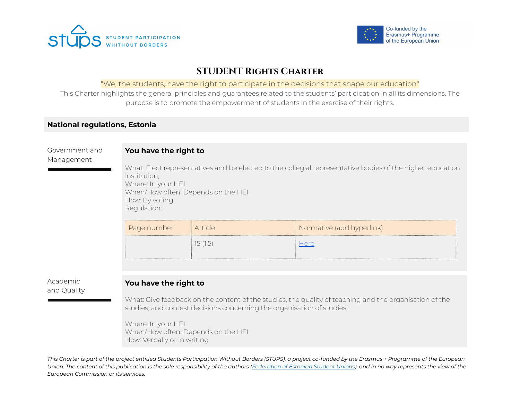



# **STUDENT Rights Charter**

### "We, the students, have the right to participate in the decisions that shape our education"

This Charter highlights the general principles and guarantees related to the students' participation in all its dimensions. The purpose is to promote the empowerment of students in the exercise of their rights.

## **National regulations, Estonia**

# Government and Management **You have the right to** What: Elect representatives and be elected to the collegial representative bodies of the higher education institution; Where: In your HEI When/How often: Depends on the HEI How: By voting Regulation: Page number Article Normative (add hyperlink) 15 (1.5)  $\qquad \qquad \frac{\text{Here}}{\text{Here}}$  $\qquad \qquad \frac{\text{Here}}{\text{Here}}$  $\qquad \qquad \frac{\text{Here}}{\text{Here}}$

### Academic and Quality

# **You have the right to**

What: Give feedback on the content of the studies, the quality of teaching and the organisation of the studies, and contest decisions concerning the organisation of studies;

Where: In your HEI When/How often: Depends on the HEI How: Verbally or in writing

This Charter is part of the project entitled Students Participation Without Borders (STUPS), a project co-funded by the Erasmus + Programme of the European Union. The content of this publication is the sole responsibility of the authors ([Federation](https://eyl.ee/) of Estonian Student Unions), and in no way represents the view of the *European Commission or its services.*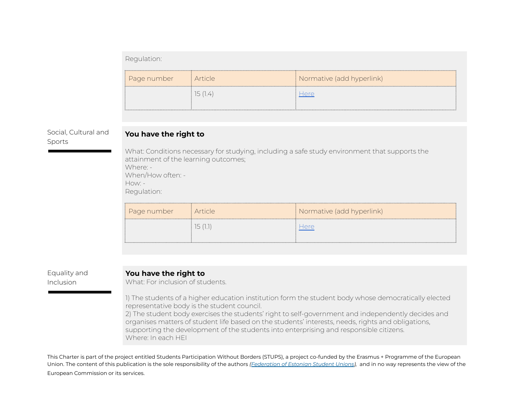#### Regulation:

| Page number | i Article | <i>(A)</i> Normative (add hyperlink) |
|-------------|-----------|--------------------------------------|
|             | 15 (1.4)  |                                      |

#### Social, Cultural and Sports

#### **You have the right to**

What: Conditions necessary for studying, including a safe study environment that supports the attainment of the learning outcomes; Where: - When/How often: - How: - Regulation:

| Page number | <i>i</i> Article | Normative (add hyperlink) |
|-------------|------------------|---------------------------|
|             | ו כו             | Here                      |

#### Equality and Inclusion

#### **You have the right to**

What: For inclusion of students.

1) The students of a higher education institution form the student body whose democratically elected representative body is the student council.

2) The student body exercises the students' right to self-government and independently decides and organises matters of student life based on the students' interests, needs, rights and obligations, supporting the development of the students into enterprising and responsible citizens. Where: In each HEI

This Charter is part of the project entitled Students Participation Without Borders (STUPS), a project co-funded by the Erasmus + Programme of the European Union. The content of this publication is the sole responsibility of the authors *([Federation](https://eyl.ee/) of Estonian Student Unions),* and in no way represents the view of the European Commission or its services.